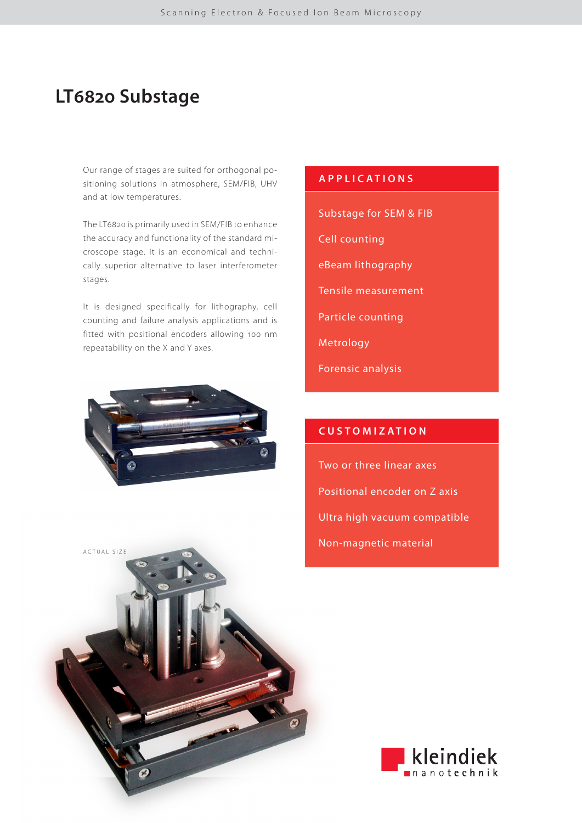# **LT6820 Substage**

Our range of stages are suited for orthogonal positioning solutions in atmosphere, SEM/FIB, UHV and at low temperatures.

The LT6820 is primarily used in SEM/FIB to enhance the accuracy and functionality of the standard microscope stage. It is an economical and technically superior alternative to laser interferometer stages.

It is designed specifically for lithography, cell counting and failure analysis applications and is fitted with positional encoders allowing 100 nm repeatability on the X and Y axes.



ACTUAL SIZE

## **APPLICATIONS**

- Substage for SEM & FIB
- Cell counting
- eBeam lithography
- Tensile measurement
- Particle counting
- Metrology
- Forensic analysis

## **CUSTOMIZATION**

Two or three linear axes Positional encoder on Z axis Ultra high vacuum compatible Non-magnetic material